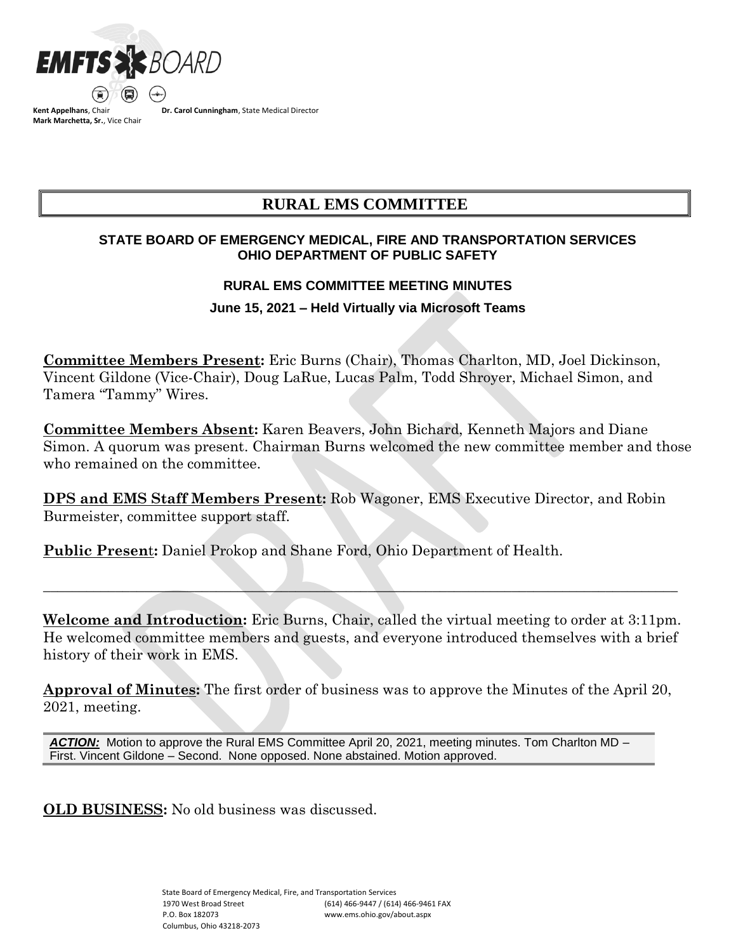

**Kent Appelhans**, Chair **Mark Marchetta, Sr.**, Vice Chair **Dr. Carol Cunningham**, State Medical Director

# **RURAL EMS COMMITTEE**

# **STATE BOARD OF EMERGENCY MEDICAL, FIRE AND TRANSPORTATION SERVICES OHIO DEPARTMENT OF PUBLIC SAFETY**

### **RURAL EMS COMMITTEE MEETING MINUTES**

## **June 15, 2021 – Held Virtually via Microsoft Teams**

**Committee Members Present:** Eric Burns (Chair), Thomas Charlton, MD, Joel Dickinson, Vincent Gildone (Vice-Chair), Doug LaRue, Lucas Palm, Todd Shroyer, Michael Simon, and Tamera "Tammy" Wires.

**Committee Members Absent:** Karen Beavers, John Bichard, Kenneth Majors and Diane Simon. A quorum was present. Chairman Burns welcomed the new committee member and those who remained on the committee.

**DPS and EMS Staff Members Present:** Rob Wagoner, EMS Executive Director, and Robin Burmeister, committee support staff.

**Public Presen**t**:** Daniel Prokop and Shane Ford, Ohio Department of Health.

**Welcome and Introduction:** Eric Burns, Chair, called the virtual meeting to order at 3:11pm. He welcomed committee members and guests, and everyone introduced themselves with a brief history of their work in EMS.

\_\_\_\_\_\_\_\_\_\_\_\_\_\_\_\_\_\_\_\_\_\_\_\_\_\_\_\_\_\_\_\_\_\_\_\_\_\_\_\_\_\_\_\_\_\_\_\_\_\_\_\_\_\_\_\_\_\_\_\_\_\_\_\_\_\_\_\_\_\_\_\_\_\_\_\_\_\_\_\_\_\_\_\_\_\_\_\_

**Approval of Minutes:** The first order of business was to approve the Minutes of the April 20, 2021, meeting.

*ACTION:* Motion to approve the Rural EMS Committee April 20, 2021, meeting minutes. Tom Charlton MD – First. Vincent Gildone – Second. None opposed. None abstained. Motion approved.

**OLD BUSINESS:** No old business was discussed.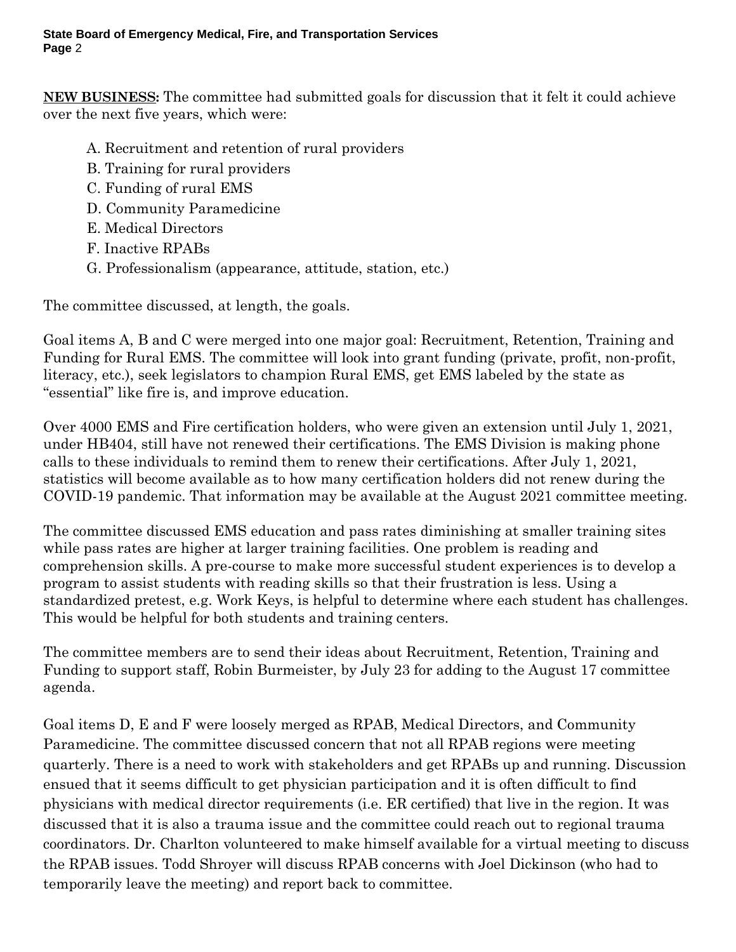**State Board of Emergency Medical, Fire, and Transportation Services Page** 2

**NEW BUSINESS:** The committee had submitted goals for discussion that it felt it could achieve over the next five years, which were:

- A. Recruitment and retention of rural providers
- B. Training for rural providers
- C. Funding of rural EMS
- D. Community Paramedicine
- E. Medical Directors
- F. Inactive RPABs
- G. Professionalism (appearance, attitude, station, etc.)

The committee discussed, at length, the goals.

Goal items A, B and C were merged into one major goal: Recruitment, Retention, Training and Funding for Rural EMS. The committee will look into grant funding (private, profit, non-profit, literacy, etc.), seek legislators to champion Rural EMS, get EMS labeled by the state as "essential" like fire is, and improve education.

Over 4000 EMS and Fire certification holders, who were given an extension until July 1, 2021, under HB404, still have not renewed their certifications. The EMS Division is making phone calls to these individuals to remind them to renew their certifications. After July 1, 2021, statistics will become available as to how many certification holders did not renew during the COVID-19 pandemic. That information may be available at the August 2021 committee meeting.

The committee discussed EMS education and pass rates diminishing at smaller training sites while pass rates are higher at larger training facilities. One problem is reading and comprehension skills. A pre-course to make more successful student experiences is to develop a program to assist students with reading skills so that their frustration is less. Using a standardized pretest, e.g. Work Keys, is helpful to determine where each student has challenges. This would be helpful for both students and training centers.

The committee members are to send their ideas about Recruitment, Retention, Training and Funding to support staff, Robin Burmeister, by July 23 for adding to the August 17 committee agenda.

Goal items D, E and F were loosely merged as RPAB, Medical Directors, and Community Paramedicine. The committee discussed concern that not all RPAB regions were meeting quarterly. There is a need to work with stakeholders and get RPABs up and running. Discussion ensued that it seems difficult to get physician participation and it is often difficult to find physicians with medical director requirements (i.e. ER certified) that live in the region. It was discussed that it is also a trauma issue and the committee could reach out to regional trauma coordinators. Dr. Charlton volunteered to make himself available for a virtual meeting to discuss the RPAB issues. Todd Shroyer will discuss RPAB concerns with Joel Dickinson (who had to temporarily leave the meeting) and report back to committee.